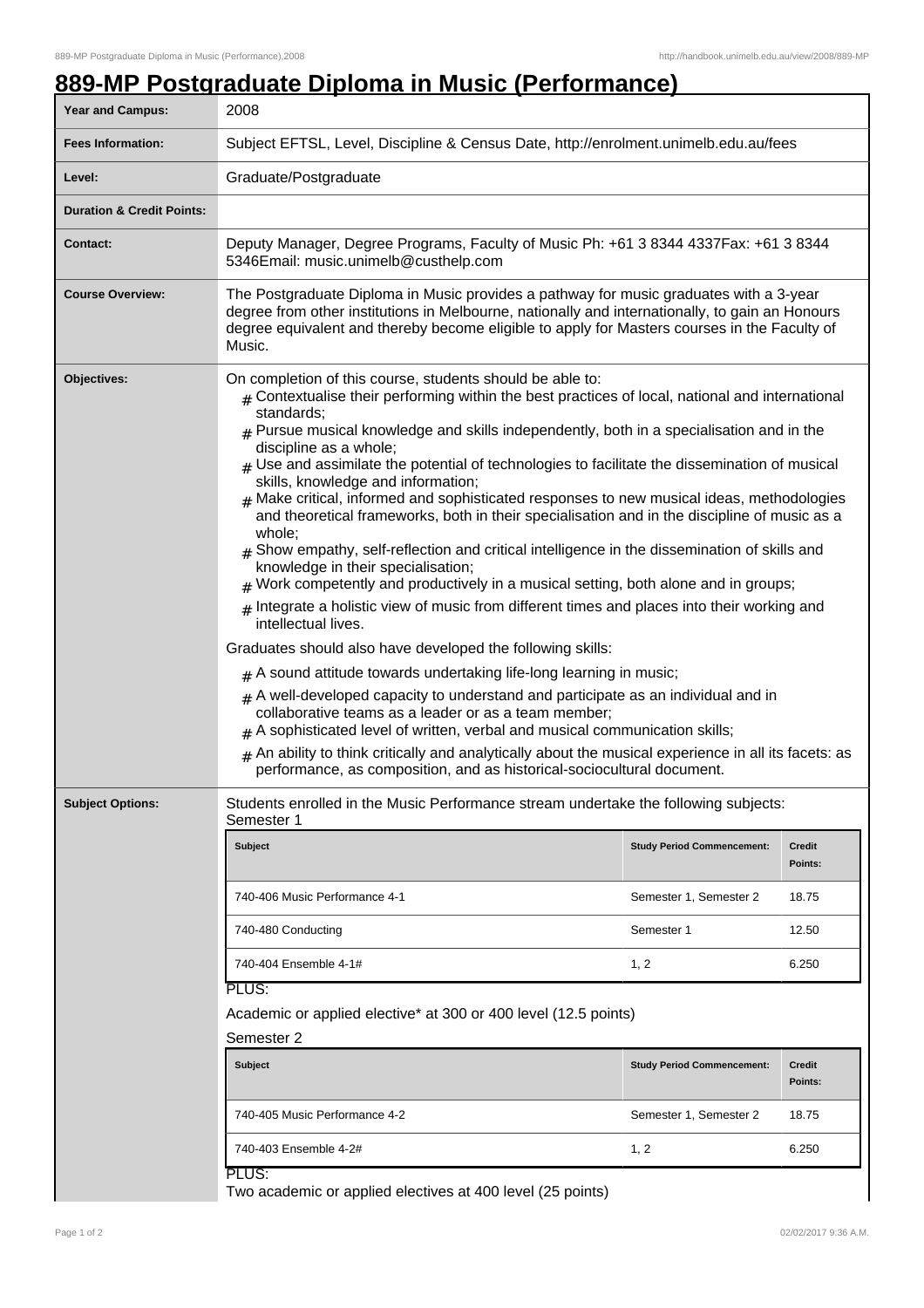## **889-MP Postgraduate Diploma in Music (Performance)**

| Year and Campus:                     | 2008                                                                                                                                                                                                                                                                                                                                                                                                                                                                                                                                                                                                                                                                                                                                                                                                                                                                                                                                                                                                                                                                                                                                                                                                                                                                                                                                                                                                                                                                                                                                                                        |                                   |                          |  |
|--------------------------------------|-----------------------------------------------------------------------------------------------------------------------------------------------------------------------------------------------------------------------------------------------------------------------------------------------------------------------------------------------------------------------------------------------------------------------------------------------------------------------------------------------------------------------------------------------------------------------------------------------------------------------------------------------------------------------------------------------------------------------------------------------------------------------------------------------------------------------------------------------------------------------------------------------------------------------------------------------------------------------------------------------------------------------------------------------------------------------------------------------------------------------------------------------------------------------------------------------------------------------------------------------------------------------------------------------------------------------------------------------------------------------------------------------------------------------------------------------------------------------------------------------------------------------------------------------------------------------------|-----------------------------------|--------------------------|--|
| <b>Fees Information:</b>             | Subject EFTSL, Level, Discipline & Census Date, http://enrolment.unimelb.edu.au/fees                                                                                                                                                                                                                                                                                                                                                                                                                                                                                                                                                                                                                                                                                                                                                                                                                                                                                                                                                                                                                                                                                                                                                                                                                                                                                                                                                                                                                                                                                        |                                   |                          |  |
| Level:                               | Graduate/Postgraduate                                                                                                                                                                                                                                                                                                                                                                                                                                                                                                                                                                                                                                                                                                                                                                                                                                                                                                                                                                                                                                                                                                                                                                                                                                                                                                                                                                                                                                                                                                                                                       |                                   |                          |  |
| <b>Duration &amp; Credit Points:</b> |                                                                                                                                                                                                                                                                                                                                                                                                                                                                                                                                                                                                                                                                                                                                                                                                                                                                                                                                                                                                                                                                                                                                                                                                                                                                                                                                                                                                                                                                                                                                                                             |                                   |                          |  |
| <b>Contact:</b>                      | Deputy Manager, Degree Programs, Faculty of Music Ph: +61 3 8344 4337Fax: +61 3 8344<br>5346Email: music.unimelb@custhelp.com                                                                                                                                                                                                                                                                                                                                                                                                                                                                                                                                                                                                                                                                                                                                                                                                                                                                                                                                                                                                                                                                                                                                                                                                                                                                                                                                                                                                                                               |                                   |                          |  |
| <b>Course Overview:</b>              | The Postgraduate Diploma in Music provides a pathway for music graduates with a 3-year<br>degree from other institutions in Melbourne, nationally and internationally, to gain an Honours<br>degree equivalent and thereby become eligible to apply for Masters courses in the Faculty of<br>Music.                                                                                                                                                                                                                                                                                                                                                                                                                                                                                                                                                                                                                                                                                                                                                                                                                                                                                                                                                                                                                                                                                                                                                                                                                                                                         |                                   |                          |  |
| Objectives:                          | On completion of this course, students should be able to:<br>$_{\#}$ Contextualise their performing within the best practices of local, national and international<br>standards;<br>$#$ Pursue musical knowledge and skills independently, both in a specialisation and in the<br>discipline as a whole;<br>$#$ Use and assimilate the potential of technologies to facilitate the dissemination of musical<br>skills, knowledge and information;<br>Make critical, informed and sophisticated responses to new musical ideas, methodologies<br>and theoretical frameworks, both in their specialisation and in the discipline of music as a<br>whole;<br>$_{\text{\#}}$ Show empathy, self-reflection and critical intelligence in the dissemination of skills and<br>knowledge in their specialisation;<br>Work competently and productively in a musical setting, both alone and in groups;<br>Integrate a holistic view of music from different times and places into their working and<br>intellectual lives.<br>Graduates should also have developed the following skills:<br>$#$ A sound attitude towards undertaking life-long learning in music;<br>$#$ A well-developed capacity to understand and participate as an individual and in<br>collaborative teams as a leader or as a team member;<br>A sophisticated level of written, verbal and musical communication skills;<br>An ability to think critically and analytically about the musical experience in all its facets: as<br>#<br>performance, as composition, and as historical-sociocultural document. |                                   |                          |  |
| <b>Subject Options:</b>              | Students enrolled in the Music Performance stream undertake the following subjects:<br>Semester 1                                                                                                                                                                                                                                                                                                                                                                                                                                                                                                                                                                                                                                                                                                                                                                                                                                                                                                                                                                                                                                                                                                                                                                                                                                                                                                                                                                                                                                                                           |                                   |                          |  |
|                                      | <b>Subject</b>                                                                                                                                                                                                                                                                                                                                                                                                                                                                                                                                                                                                                                                                                                                                                                                                                                                                                                                                                                                                                                                                                                                                                                                                                                                                                                                                                                                                                                                                                                                                                              | <b>Study Period Commencement:</b> | <b>Credit</b><br>Points: |  |
|                                      | 740-406 Music Performance 4-1                                                                                                                                                                                                                                                                                                                                                                                                                                                                                                                                                                                                                                                                                                                                                                                                                                                                                                                                                                                                                                                                                                                                                                                                                                                                                                                                                                                                                                                                                                                                               | Semester 1, Semester 2            | 18.75                    |  |
|                                      | 740-480 Conducting                                                                                                                                                                                                                                                                                                                                                                                                                                                                                                                                                                                                                                                                                                                                                                                                                                                                                                                                                                                                                                                                                                                                                                                                                                                                                                                                                                                                                                                                                                                                                          | Semester 1                        | 12.50                    |  |
|                                      | 740-404 Ensemble 4-1#                                                                                                                                                                                                                                                                                                                                                                                                                                                                                                                                                                                                                                                                                                                                                                                                                                                                                                                                                                                                                                                                                                                                                                                                                                                                                                                                                                                                                                                                                                                                                       | 1, 2                              | 6.250                    |  |
|                                      | PLUS:                                                                                                                                                                                                                                                                                                                                                                                                                                                                                                                                                                                                                                                                                                                                                                                                                                                                                                                                                                                                                                                                                                                                                                                                                                                                                                                                                                                                                                                                                                                                                                       |                                   |                          |  |
|                                      | Academic or applied elective* at 300 or 400 level (12.5 points)<br>Semester 2                                                                                                                                                                                                                                                                                                                                                                                                                                                                                                                                                                                                                                                                                                                                                                                                                                                                                                                                                                                                                                                                                                                                                                                                                                                                                                                                                                                                                                                                                               |                                   |                          |  |
|                                      | <b>Subject</b>                                                                                                                                                                                                                                                                                                                                                                                                                                                                                                                                                                                                                                                                                                                                                                                                                                                                                                                                                                                                                                                                                                                                                                                                                                                                                                                                                                                                                                                                                                                                                              | <b>Study Period Commencement:</b> | Credit<br>Points:        |  |
|                                      | 740-405 Music Performance 4-2                                                                                                                                                                                                                                                                                                                                                                                                                                                                                                                                                                                                                                                                                                                                                                                                                                                                                                                                                                                                                                                                                                                                                                                                                                                                                                                                                                                                                                                                                                                                               | Semester 1, Semester 2            | 18.75                    |  |
|                                      | 740-403 Ensemble 4-2#                                                                                                                                                                                                                                                                                                                                                                                                                                                                                                                                                                                                                                                                                                                                                                                                                                                                                                                                                                                                                                                                                                                                                                                                                                                                                                                                                                                                                                                                                                                                                       | 1, 2                              | 6.250                    |  |
|                                      | PLUS:<br>Two academic or applied electives at 400 level (25 points)                                                                                                                                                                                                                                                                                                                                                                                                                                                                                                                                                                                                                                                                                                                                                                                                                                                                                                                                                                                                                                                                                                                                                                                                                                                                                                                                                                                                                                                                                                         |                                   |                          |  |